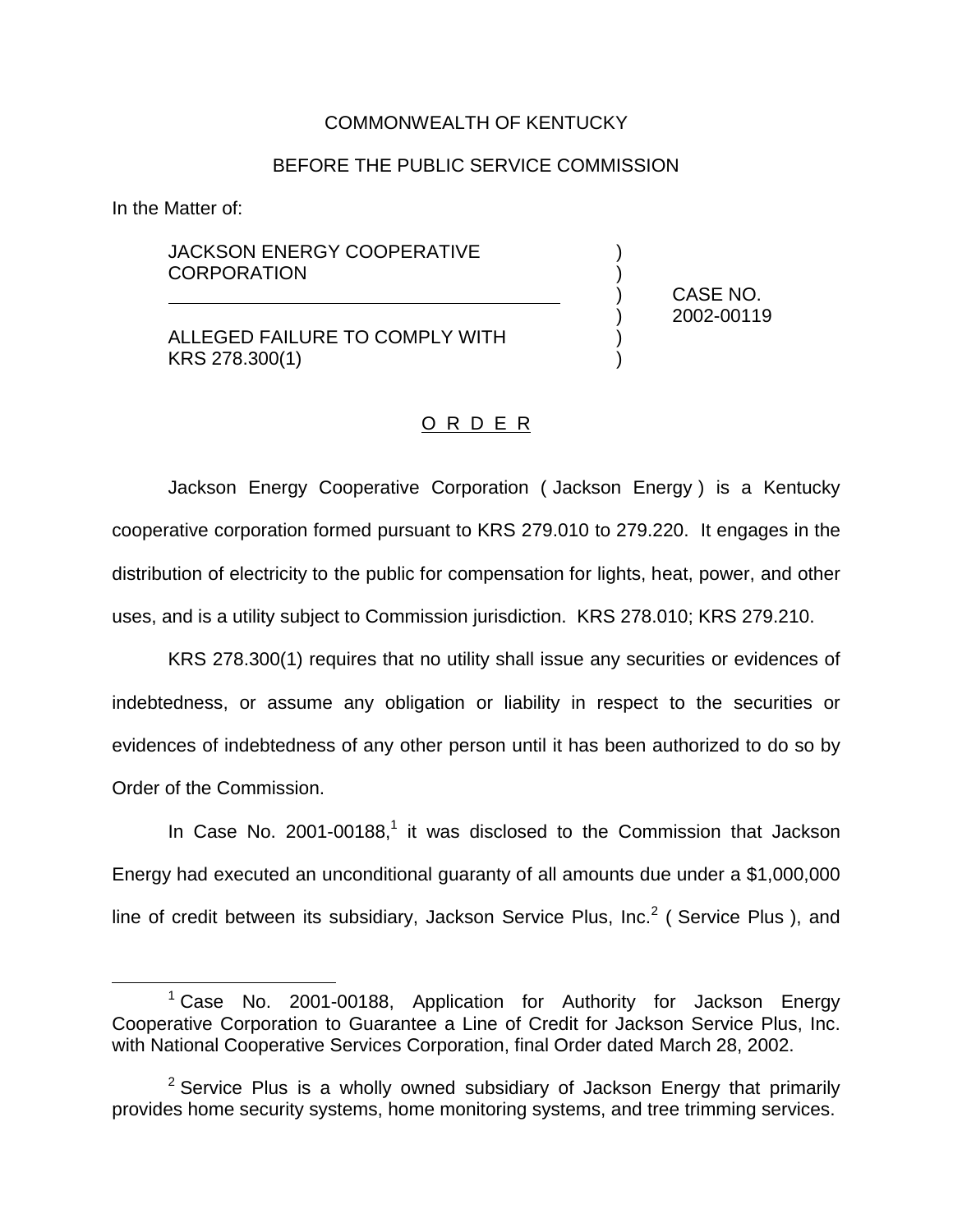## COMMONWEALTH OF KENTUCKY

## BEFORE THE PUBLIC SERVICE COMMISSION

In the Matter of:

## JACKSON ENERGY COOPERATIVE **CORPORATION**

ALLEGED FAILURE TO COMPLY WITH KRS 278.300(1) )

) CASE NO. ) 2002-00119

## O R D E R

Jackson Energy Cooperative Corporation ( Jackson Energy ) is a Kentucky cooperative corporation formed pursuant to KRS 279.010 to 279.220. It engages in the distribution of electricity to the public for compensation for lights, heat, power, and other uses, and is a utility subject to Commission jurisdiction. KRS 278.010; KRS 279.210.

KRS 278.300(1) requires that no utility shall issue any securities or evidences of indebtedness, or assume any obligation or liability in respect to the securities or evidences of indebtedness of any other person until it has been authorized to do so by Order of the Commission.

In Case No. 2001-00188, $<sup>1</sup>$  it was disclosed to the Commission that Jackson</sup> Energy had executed an unconditional guaranty of all amounts due under a \$1,000,000 line of credit between its subsidiary, Jackson Service Plus, Inc.<sup>2</sup> (Service Plus), and

<sup>&</sup>lt;sup>1</sup> Case No. 2001-00188, Application for Authority for Jackson Energy Cooperative Corporation to Guarantee a Line of Credit for Jackson Service Plus, Inc. with National Cooperative Services Corporation, final Order dated March 28, 2002.

 $2$  Service Plus is a wholly owned subsidiary of Jackson Energy that primarily provides home security systems, home monitoring systems, and tree trimming services.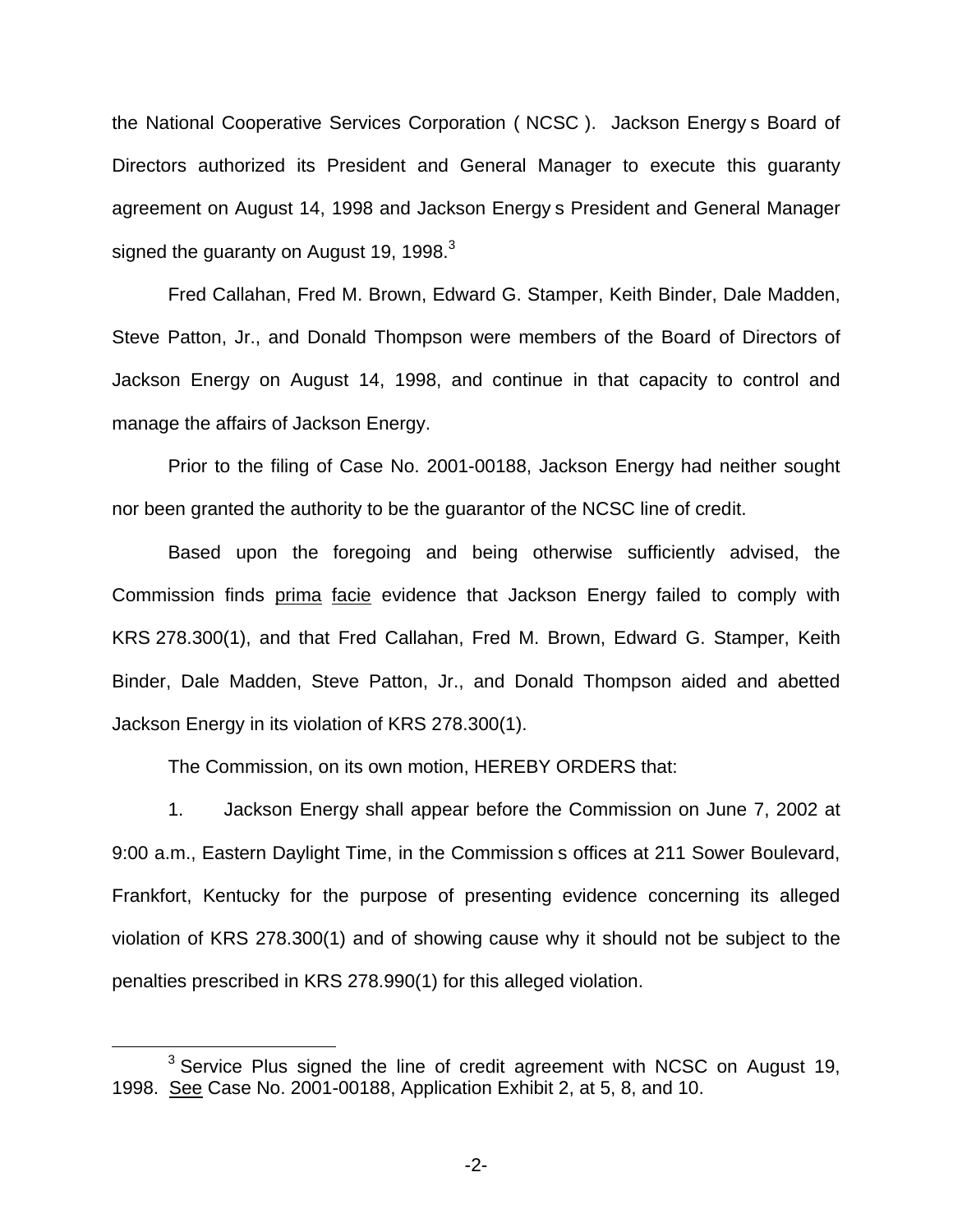the National Cooperative Services Corporation ( NCSC ). Jackson Energy s Board of Directors authorized its President and General Manager to execute this guaranty agreement on August 14, 1998 and Jackson Energy s President and General Manager signed the guaranty on August 19, 1998. $3$ 

Fred Callahan, Fred M. Brown, Edward G. Stamper, Keith Binder, Dale Madden, Steve Patton, Jr., and Donald Thompson were members of the Board of Directors of Jackson Energy on August 14, 1998, and continue in that capacity to control and manage the affairs of Jackson Energy.

Prior to the filing of Case No. 2001-00188, Jackson Energy had neither sought nor been granted the authority to be the guarantor of the NCSC line of credit.

Based upon the foregoing and being otherwise sufficiently advised, the Commission finds prima facie evidence that Jackson Energy failed to comply with KRS 278.300(1), and that Fred Callahan, Fred M. Brown, Edward G. Stamper, Keith Binder, Dale Madden, Steve Patton, Jr., and Donald Thompson aided and abetted Jackson Energy in its violation of KRS 278.300(1).

The Commission, on its own motion, HEREBY ORDERS that:

1. Jackson Energy shall appear before the Commission on June 7, 2002 at 9:00 a.m., Eastern Daylight Time, in the Commission s offices at 211 Sower Boulevard, Frankfort, Kentucky for the purpose of presenting evidence concerning its alleged violation of KRS 278.300(1) and of showing cause why it should not be subject to the penalties prescribed in KRS 278.990(1) for this alleged violation.

 $3$  Service Plus signed the line of credit agreement with NCSC on August 19, 1998. See Case No. 2001-00188, Application Exhibit 2, at 5, 8, and 10.